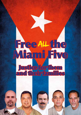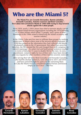# Who are the Miami 5?

#### **The Miami Five are Gerardo Hernandez, Ramón Labañino, Fernando González, Antonio Guerrero and René González – five Cuban men arrested in Miami in 1998 while trying to stop terrorist attacks against the Cuban people.**

Since 1959, nearly 3,500 Cubans have died in terrorist attacks carried out by Miami based terrorist organisations including the 1976 bombing of a Cuban airliner which killed 73 people, and a series of hotel bombings in the 1990s aimed at destroying the island's economy and tourism industry.

In the 1990s, Cuba sent five men to infiltrate these groups by working undercover in Miami where most of the terrorist attacks originated. In 1998 they passed on the information they had collected and details of planned attacks to the US government. But rather than arrest the terrorists, the FBI arrested the five and charged them with conspiracy to commit espionage. An unfair trial and harsh prison sentences resulted in terms of between 15 years to double life for the men. As extra punishment, visitation rights for two of their wives have been denied and visa requests for other members of their families severely restricted.

After serving their full terms René González and Fernando González, who had the shortest sentences, were released in 2011 and 2014 and have joined the fight for justice for the remaining three. In Cuba the Miami Five are considered national heroes and known simply as 'Los Cinco' – The Five.



Ramón Labañino Fernando González

Antonio Guerrero

René González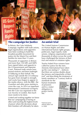

### The campaign for Justice

In Britain, the Cuba Solidarity Campaign, together with trade unions, legal organisations and supporters have been working to build the broadest possible movement for justice for the Miami Five and their families for more than 13 years.

Thousands of supporters in Britain and more than 150 MPs and MEPs have signed letters and appeals to the US government and Supreme Court. National trade unions have passed motions and been forthright in lobbying on their behalf. The annual vigil outside the US embassy has gone from strength to strength, and cracks have begun to appear in the media silence, with the BBC, the Guardian and other press starting to cover the case. In 2014 an important International Commission of Inquiry into the Case was organised at the Law Society in London. But much more needs to be done.

United and working together we know that our campaigning is having an effect and reaching the highest levels of power where the decisions about their freedom will ultimately be taken.

### An unfair trial

The United Nations Commission on Human Rights and other international human rights groups, politicians, legal experts, trade unions, religious organisations and thousands of others across the world have challenged the fairness of their trial and refusal of visitation rights.

Twelve Nobel Prize winners have called for justice for the men. Amnesty International have taken up the case stating it "…believes that there are serious doubts about the fairness and impartiality of their trial" and describing the treatment of family members as "contrary both to

standards for the human treatment of prisoners and to a states' obligation to protect family life"

National press adverts taken out in 2008

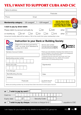# YES, I WANT TO SUPPORT CUBA AND CSC

| Name & address:                                                                                                                                                 |                                                                                                                                                                                                                                                                                                                                                            |
|-----------------------------------------------------------------------------------------------------------------------------------------------------------------|------------------------------------------------------------------------------------------------------------------------------------------------------------------------------------------------------------------------------------------------------------------------------------------------------------------------------------------------------------|
|                                                                                                                                                                 | Postcode:                                                                                                                                                                                                                                                                                                                                                  |
| Email:<br>Phone:                                                                                                                                                |                                                                                                                                                                                                                                                                                                                                                            |
| Membership category £8 uwaged                                                                                                                                   | <b>Join by direct debit</b><br>£20 waged<br>and get a free metal<br>membership pin badge<br>and 3 film Miami 5 DVD                                                                                                                                                                                                                                         |
| I wish to pay by direct debit:                                                                                                                                  |                                                                                                                                                                                                                                                                                                                                                            |
| Please debit my account annually by<br>l£2<br>£1.67<br>or monthly by<br>Annual and monthly debit will be made on 15th of the month from when membership is due. | £8<br>£20<br>other<br>£<br>£3<br>£5<br>E10<br>£<br>other                                                                                                                                                                                                                                                                                                   |
| Please fill in the form and send to:<br>CSC, c/o Unite, 33-37 Moreland St,<br>London EC1V 8HA<br><b>SOLIDARIT</b><br><b>CAMPAIGN</b>                            | <b>Instruction to your Bank or Building Society</b><br>Service user number                                                                                                                                                                                                                                                                                 |
| Name(s) of account holders<br>Bank/building society number<br>Branch sort code                                                                                  | Please pay Cuba Solidarity Campaign Direct Debits from the<br>account detailed in this Instruction subject to the safeguards<br>assured by the Direct Debit Guarantee.<br>I understand that this Instruction may remain with Cuba<br>Solidarity Campaign and, if so, details will be passed<br>electronically to my bank/building society.<br>Signature(s) |
| To the Manager<br>Bank/Building Society:                                                                                                                        | Date:                                                                                                                                                                                                                                                                                                                                                      |
| Address:<br>Postcode:<br>Banks and building societies may not accept Direct Debit Instructions for some types of account.                                       | For internal use only<br>Reference number                                                                                                                                                                                                                                                                                                                  |
| I wish to pay by card $\boldsymbol{\mathsf{\scriptstyle{E}}}$<br><b>or</b><br>Card no<br>Expiry date<br>I wish to pay by cheque. I enclose a cheque for £<br>or | Security Code<br>payable to CSC                                                                                                                                                                                                                                                                                                                            |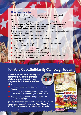### What you can do

Solidarity from Britain is vitally important to the Five, as one of the prisoners, Fernando González wrote in a letter to CSC supporters recently:

*"As you have done all these years, and as you will continue to do, we will remain in the struggle for as long as it takes, encouraged by your solidarity and support and certain that sooner or later, thanks to efforts like yours, we will gain our freedom."*

There are many ways you can support the campaign for justice for the Miami Five in Britain:

- Join the Cuba Solidarity Campaign today
- Invite a speaker to a group event or show one of our campaigning films
- Host a touring exhibition of prison paintings and cartoons by Antonio and Gerardo
- Write to the Five, you can find their addresses at www.cuba-solidarity.org.uk/miami5
- Make a financial donation to the campaign
- Add your name to the international online petition for the Five at www.voicesforthefive.com

# Join the Cuba Solidarity Campaign today

*A free Cuba50 anniversary CD featuring 15 of the greatest Cuban bands from the last 50 years for all new members*

#### plus

- $\blacksquare$  Free subscription to our quarterly magazine *CubaSí*
- Special offers, competitions and discounts on wide range of merchandise, tours and events
- Regular briefing papers and updates on Cuba and CSC campaigns

*Join by direct debit and you also receive a free metal membership pin badge and new 3 film Miami Five DVD. Join or donate now on the form overleaf...*